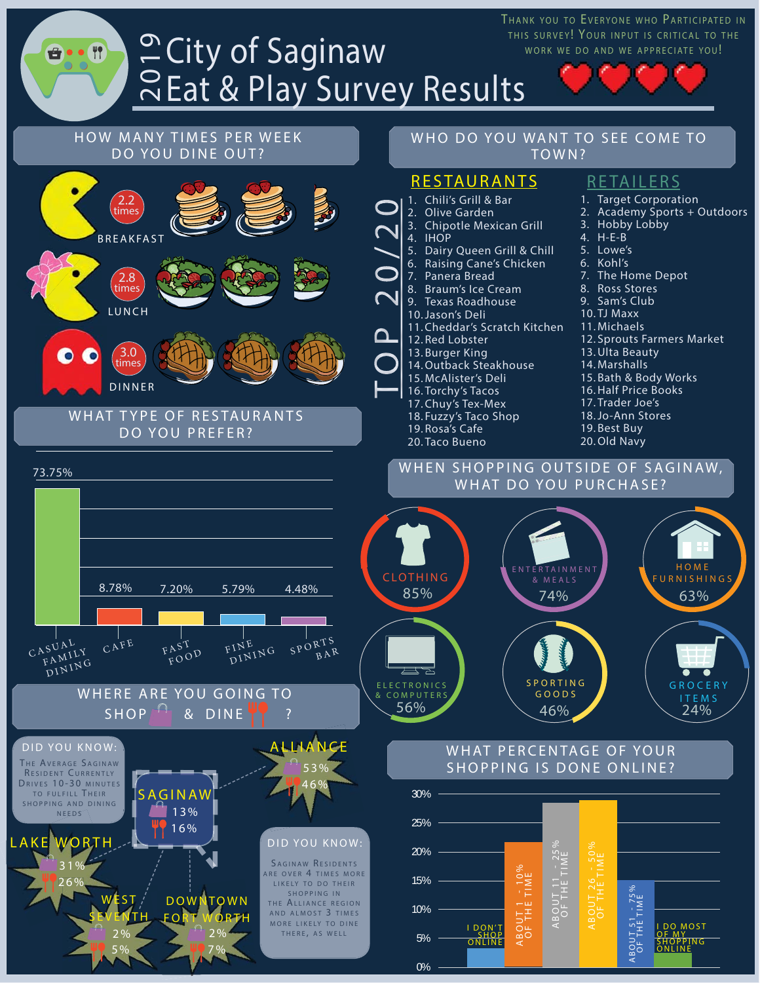